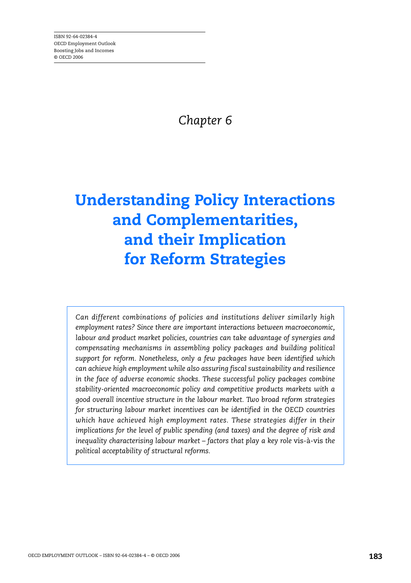*Chapter 6* 

# **Understanding Policy Interactions and Complementarities, and their Implication for Reform Strategies**

*Can different combinations of policies and institutions deliver similarly high employment rates? Since there are important interactions between macroeconomic, labour and product market policies, countries can take advantage of synergies and compensating mechanisms in assembling policy packages and building political support for reform. Nonetheless, only a few packages have been identified which can achieve high employment while also assuring fiscal sustainability and resilience in the face of adverse economic shocks. These successful policy packages combine stability-oriented macroeconomic policy and competitive products markets with a good overall incentive structure in the labour market. Two broad reform strategies for structuring labour market incentives can be identified in the OECD countries which have achieved high employment rates. These strategies differ in their implications for the level of public spending (and taxes) and the degree of risk and inequality characterising labour market – factors that play a key role* vis-à-vis *the political acceptability of structural reforms.*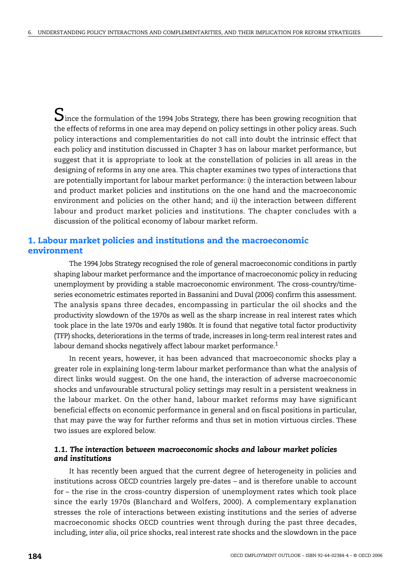${\mathsf S}$ ince the formulation of the 1994 Jobs Strategy, there has been growing recognition that the effects of reforms in one area may depend on policy settings in other policy areas. Such policy interactions and complementarities do not call into doubt the intrinsic effect that each policy and institution discussed in Chapter 3 has on labour market performance, but suggest that it is appropriate to look at the constellation of policies in all areas in the designing of reforms in any one area. This chapter examines two types of interactions that are potentially important for labour market performance: *i)* the interaction between labour and product market policies and institutions on the one hand and the macroeconomic environment and policies on the other hand; and *ii)* the interaction between different labour and product market policies and institutions. The chapter concludes with a discussion of the political economy of labour market reform.

### **1. Labour market policies and institutions and the macroeconomic environment**

The 1994 Jobs Strategy recognised the role of general macroeconomic conditions in partly shaping labour market performance and the importance of macroeconomic policy in reducing unemployment by providing a stable macroeconomic environment. The cross-country/timeseries econometric estimates reported in Bassanini and Duval (2006) confirm this assessment. The analysis spans three decades, encompassing in particular the oil shocks and the productivity slowdown of the 1970s as well as the sharp increase in real interest rates which took place in the late 1970s and early 1980s. It is found that negative total factor productivity (TFP) shocks, deteriorations in the terms of trade, increases in long-term real interest rates and labour demand shocks negatively affect labour market performance.<sup>1</sup>

In recent years, however, it has been advanced that macroeconomic shocks play a greater role in explaining long-term labour market performance than what the analysis of direct links would suggest. On the one hand, the interaction of adverse macroeconomic shocks and unfavourable structural policy settings may result in a persistent weakness in the labour market. On the other hand, labour market reforms may have significant beneficial effects on economic performance in general and on fiscal positions in particular, that may pave the way for further reforms and thus set in motion virtuous circles. These two issues are explored below.

#### *1.1. The interaction between macroeconomic shocks and labour market policies and institutions*

It has recently been argued that the current degree of heterogeneity in policies and institutions across OECD countries largely pre-dates – and is therefore unable to account for – the rise in the cross-country dispersion of unemployment rates which took place since the early 1970s (Blanchard and Wolfers, 2000). A complementary explanation stresses the role of interactions between existing institutions and the series of adverse macroeconomic shocks OECD countries went through during the past three decades, including, *inter alia*, oil price shocks, real interest rate shocks and the slowdown in the pace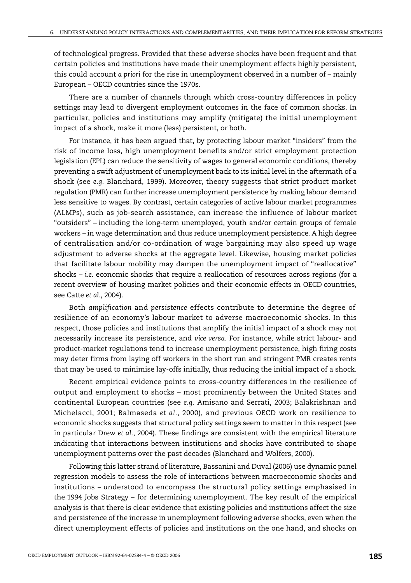of technological progress. Provided that these adverse shocks have been frequent and that certain policies and institutions have made their unemployment effects highly persistent, this could account *a priori* for the rise in unemployment observed in a number of – mainly European – OECD countries since the 1970s.

There are a number of channels through which cross-country differences in policy settings may lead to divergent employment outcomes in the face of common shocks. In particular, policies and institutions may amplify (mitigate) the initial unemployment impact of a shock, make it more (less) persistent, or both.

For instance, it has been argued that, by protecting labour market "insiders" from the risk of income loss, high unemployment benefits and/or strict employment protection legislation (EPL) can reduce the sensitivity of wages to general economic conditions, thereby preventing a swift adjustment of unemployment back to its initial level in the aftermath of a shock (see *e.g.* Blanchard, 1999). Moreover, theory suggests that strict product market regulation (PMR) can further increase unemployment persistence by making labour demand less sensitive to wages. By contrast, certain categories of active labour market programmes (ALMPs), such as job-search assistance, can increase the influence of labour market "outsiders" – including the long-term unemployed, youth and/or certain groups of female workers – in wage determination and thus reduce unemployment persistence. A high degree of centralisation and/or co-ordination of wage bargaining may also speed up wage adjustment to adverse shocks at the aggregate level. Likewise, housing market policies that facilitate labour mobility may dampen the unemployment impact of "reallocative" shocks – *i.e.* economic shocks that require a reallocation of resources across regions (for a recent overview of housing market policies and their economic effects in OECD countries, see Catte *et al.*, 2004).

Both *amplification* and *persistence* effects contribute to determine the degree of resilience of an economy's labour market to adverse macroeconomic shocks. In this respect, those policies and institutions that amplify the initial impact of a shock may not necessarily increase its persistence, and *vice versa*. For instance, while strict labour- and product-market regulations tend to increase unemployment persistence, high firing costs may deter firms from laying off workers in the short run and stringent PMR creates rents that may be used to minimise lay-offs initially, thus reducing the initial impact of a shock.

Recent empirical evidence points to cross-country differences in the resilience of output and employment to shocks – most prominently between the United States and continental European countries (see *e.g.* Amisano and Serrati, 2003; Balakrishnan and Michelacci, 2001; Balmaseda *et al.*, 2000), and previous OECD work on resilience to economic shocks suggests that structural policy settings seem to matter in this respect (see in particular Drew *et al.*, 2004). These findings are consistent with the empirical literature indicating that interactions between institutions and shocks have contributed to shape unemployment patterns over the past decades (Blanchard and Wolfers, 2000).

Following this latter strand of literature, Bassanini and Duval (2006) use dynamic panel regression models to assess the role of interactions between macroeconomic shocks and institutions – understood to encompass the structural policy settings emphasised in the 1994 Jobs Strategy – for determining unemployment. The key result of the empirical analysis is that there is clear evidence that existing policies and institutions affect the size and persistence of the increase in unemployment following adverse shocks, even when the direct unemployment effects of policies and institutions on the one hand, and shocks on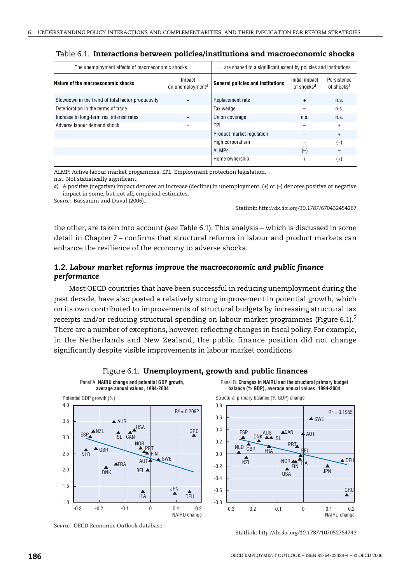| The unemployment effects of macroeconomic shocks   | are shaped to a significant extent by policies and institutions |                                          |                                          |                                       |
|----------------------------------------------------|-----------------------------------------------------------------|------------------------------------------|------------------------------------------|---------------------------------------|
| Nature of the macroeconomic shocks                 | Impact<br>on unemployment <sup>a</sup>                          | <b>General policies and institutions</b> | Initial impact<br>of shocks <sup>a</sup> | Persistence<br>of shocks <sup>a</sup> |
| Slowdown in the trend of total factor productivity | $+$                                                             | Replacement rate                         | $\ddot{}$                                | n.s.                                  |
| Deterioration in the terms of trade                | $+$                                                             | Tax wedge                                |                                          | n.s.                                  |
| Increase in long-term real interest rates          | $+$                                                             | Union coverage                           | n.S.                                     | n.s.                                  |
| Adverse labour demand shock                        | $^{+}$                                                          | EPL                                      |                                          | $\ddot{}$                             |
|                                                    |                                                                 | Product market regulation                |                                          | $+$                                   |
|                                                    |                                                                 | High corporatism                         |                                          | $(-)$                                 |
|                                                    |                                                                 | <b>ALMPs</b>                             | $(-)$                                    |                                       |
|                                                    |                                                                 | Home ownership                           | $\ddot{}$                                | $^{(+)}$                              |

#### Table 6.1. **Interactions between policies/institutions and macroeconomic shocks**

ALMP: Active labour market progammes. EPL: Employment protection legislation. n.s.: Not statistically significant.

*a)* A positive (negative) impact denotes an increase (decline) in unemployment. (+) or (–) denotes positive or negative impact in some, but not all, empirical estimates.

*Source:* Bassanini and Duval (2006).

Statlink: *http://dx.doi.org/10.1787/*670432454267

the other, are taken into account (see Table 6.1). This analysis – which is discussed in some detail in Chapter 7 – confirms that structural reforms in labour and product markets can enhance the resilience of the economy to adverse shocks.

#### *1.2. Labour market reforms improve the macroeconomic and public finance performance*

Most OECD countries that have been successful in reducing unemployment during the past decade, have also posted a relatively strong improvement in potential growth, which on its own contributed to improvements of structural budgets by increasing structural tax receipts and/or reducing structural spending on labour market programmes (Figure 6.1).<sup>2</sup> There are a number of exceptions, however, reflecting changes in fiscal policy. For example, in the Netherlands and New Zealand, the public finance position did not change significantly despite visible improvements in labour market conditions.



#### Figure 6.1. **Unemployment, growth and public finances**

*Source:* OECD Economic Outlook database.

Statlink: *http://dx.doi.org/10.1787/*107052754743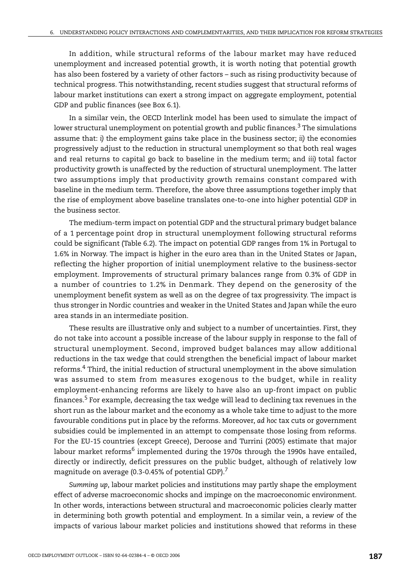In addition, while structural reforms of the labour market may have reduced unemployment and increased potential growth, it is worth noting that potential growth has also been fostered by a variety of other factors – such as rising productivity because of technical progress. This notwithstanding, recent studies suggest that structural reforms of labour market institutions can exert a strong impact on aggregate employment, potential GDP and public finances (see Box 6.1).

In a similar vein, the OECD Interlink model has been used to simulate the impact of lower structural unemployment on potential growth and public finances.<sup>3</sup> The simulations assume that: *i)* the employment gains take place in the business sector; *ii)* the economies progressively adjust to the reduction in structural unemployment so that both real wages and real returns to capital go back to baseline in the medium term; and *iii)* total factor productivity growth is unaffected by the reduction of structural unemployment. The latter two assumptions imply that productivity growth remains constant compared with baseline in the medium term. Therefore, the above three assumptions together imply that the rise of employment above baseline translates one-to-one into higher potential GDP in the business sector.

The medium-term impact on potential GDP and the structural primary budget balance of a 1 percentage point drop in structural unemployment following structural reforms could be significant (Table 6.2). The impact on potential GDP ranges from 1% in Portugal to 1.6% in Norway. The impact is higher in the euro area than in the United States or Japan, reflecting the higher proportion of initial unemployment relative to the business-sector employment. Improvements of structural primary balances range from 0.3% of GDP in a number of countries to 1.2% in Denmark. They depend on the generosity of the unemployment benefit system as well as on the degree of tax progressivity. The impact is thus stronger in Nordic countries and weaker in the United States and Japan while the euro area stands in an intermediate position.

These results are illustrative only and subject to a number of uncertainties. First, they do not take into account a possible increase of the labour supply in response to the fall of structural unemployment. Second, improved budget balances may allow additional reductions in the tax wedge that could strengthen the beneficial impact of labour market reforms.4 Third, the initial reduction of structural unemployment in the above simulation was assumed to stem from measures exogenous to the budget, while in reality employment-enhancing reforms are likely to have also an up-front impact on public finances.5 For example, decreasing the tax wedge will lead to declining tax revenues in the short run as the labour market and the economy as a whole take time to adjust to the more favourable conditions put in place by the reforms. Moreover, *ad hoc* tax cuts or government subsidies could be implemented in an attempt to compensate those losing from reforms. For the EU-15 countries (except Greece), Deroose and Turrini (2005) estimate that major labour market reforms<sup>6</sup> implemented during the 1970s through the 1990s have entailed, directly or indirectly, deficit pressures on the public budget, although of relatively low magnitude on average (0.3-0.45% of potential GDP).<sup>7</sup>

*Summing up*, labour market policies and institutions may partly shape the employment effect of adverse macroeconomic shocks and impinge on the macroeconomic environment. In other words, interactions between structural and macroeconomic policies clearly matter in determining both growth potential and employment. In a similar vein, a review of the impacts of various labour market policies and institutions showed that reforms in these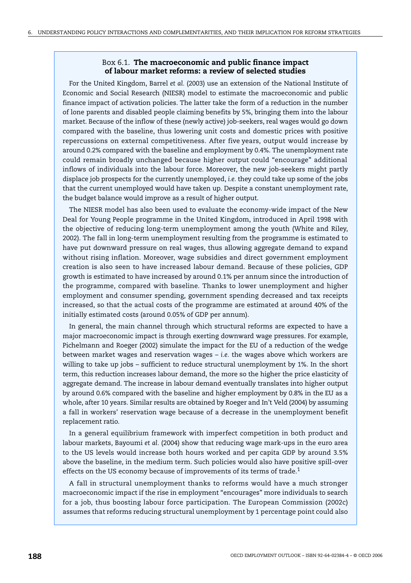#### Box 6.1. **The macroeconomic and public finance impact of labour market reforms: a review of selected studies**

For the United Kingdom, Barrel *et al.* (2003) use an extension of the National Institute of Economic and Social Research (NIESR) model to estimate the macroeconomic and public finance impact of activation policies. The latter take the form of a reduction in the number of lone parents and disabled people claiming benefits by 5%, bringing them into the labour market. Because of the inflow of these (newly active) job-seekers, real wages would go down compared with the baseline, thus lowering unit costs and domestic prices with positive repercussions on external competitiveness. After five years, output would increase by around 0.2% compared with the baseline and employment by 0.4%. The unemployment rate could remain broadly unchanged because higher output could "encourage" additional inflows of individuals into the labour force. Moreover, the new job-seekers might partly displace job prospects for the currently unemployed, *i.e.* they could take up some of the jobs that the current unemployed would have taken up. Despite a constant unemployment rate, the budget balance would improve as a result of higher output.

The NIESR model has also been used to evaluate the economy-wide impact of the New Deal for Young People programme in the United Kingdom, introduced in April 1998 with the objective of reducing long-term unemployment among the youth (White and Riley, 2002). The fall in long-term unemployment resulting from the programme is estimated to have put downward pressure on real wages, thus allowing aggregate demand to expand without rising inflation. Moreover, wage subsidies and direct government employment creation is also seen to have increased labour demand. Because of these policies, GDP growth is estimated to have increased by around 0.1% per annum since the introduction of the programme, compared with baseline. Thanks to lower unemployment and higher employment and consumer spending, government spending decreased and tax receipts increased, so that the actual costs of the programme are estimated at around 40% of the initially estimated costs (around 0.05% of GDP per annum).

In general, the main channel through which structural reforms are expected to have a major macroeconomic impact is through exerting downward wage pressures. For example, Pichelmann and Roeger (2002) simulate the impact for the EU of a reduction of the wedge between market wages and reservation wages – *i.e.* the wages above which workers are willing to take up jobs – sufficient to reduce structural unemployment by 1%. In the short term, this reduction increases labour demand, the more so the higher the price elasticity of aggregate demand. The increase in labour demand eventually translates into higher output by around 0.6% compared with the baseline and higher employment by 0.8% in the EU as a whole, after 10 years. Similar results are obtained by Roeger and In't Veld (2004) by assuming a fall in workers' reservation wage because of a decrease in the unemployment benefit replacement ratio.

In a general equilibrium framework with imperfect competition in both product and labour markets, Bayoumi *et al.* (2004) show that reducing wage mark-ups in the euro area to the US levels would increase both hours worked and per capita GDP by around 3.5% above the baseline, in the medium term. Such policies would also have positive spill-over effects on the US economy because of improvements of its terms of trade.<sup>1</sup>

A fall in structural unemployment thanks to reforms would have a much stronger macroeconomic impact if the rise in employment "encourages" more individuals to search for a job, thus boosting labour force participation. The European Commission (2002c) assumes that reforms reducing structural unemployment by 1 percentage point could also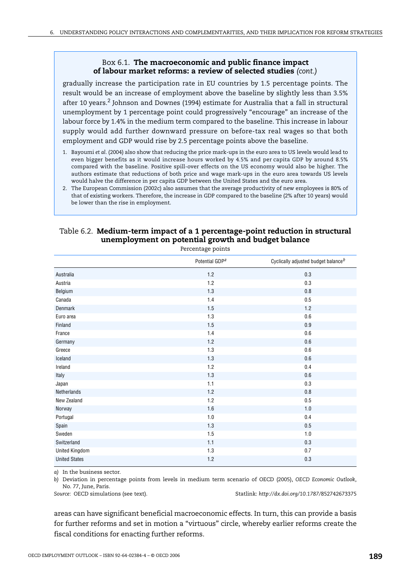#### Box 6.1. **The macroeconomic and public finance impact of labour market reforms: a review of selected studies** *(cont.)*

gradually increase the participation rate in EU countries by 1.5 percentage points. The result would be an increase of employment above the baseline by slightly less than 3.5% after 10 years.2 Johnson and Downes (1994) estimate for Australia that a fall in structural unemployment by 1 percentage point could progressively "encourage" an increase of the labour force by 1.4% in the medium term compared to the baseline. This increase in labour supply would add further downward pressure on before-tax real wages so that both employment and GDP would rise by 2.5 percentage points above the baseline.

- 1. Bayoumi *et al.* (2004) also show that reducing the price mark-ups in the euro area to US levels would lead to even bigger benefits as it would increase hours worked by 4.5% and per capita GDP by around 8.5% compared with the baseline. Positive spill-over effects on the US economy would also be higher. The authors estimate that reductions of both price and wage mark-ups in the euro area towards US levels would halve the difference in per capita GDP between the United States and the euro area.
- 2. The European Commission (2002c) also assumes that the average productivity of new employees is 80% of that of existing workers. Therefore, the increase in GDP compared to the baseline (2% after 10 years) would be lower than the rise in employment.

| Percentage points     |                            |                                                 |  |  |
|-----------------------|----------------------------|-------------------------------------------------|--|--|
|                       | Potential GDP <sup>a</sup> | Cyclically adjusted budget balance <sup>b</sup> |  |  |
| Australia             | 1.2                        | 0.3                                             |  |  |
| Austria               | 1.2                        | 0.3                                             |  |  |
| Belgium               | 1.3                        | 0.8                                             |  |  |
| Canada                | 1.4                        | 0.5                                             |  |  |
| Denmark               | 1.5                        | 1.2                                             |  |  |
| Euro area             | 1.3                        | 0.6                                             |  |  |
| Finland               | 1.5                        | 0.9                                             |  |  |
| France                | 1.4                        | 0.6                                             |  |  |
| Germany               | 1.2                        | 0.6                                             |  |  |
| Greece                | 1.3                        | 0.6                                             |  |  |
| Iceland               | 1.3                        | 0.6                                             |  |  |
| Ireland               | 1.2                        | 0.4                                             |  |  |
| Italy                 | 1.3                        | 0.6                                             |  |  |
| Japan                 | 1.1                        | 0.3                                             |  |  |
| Netherlands           | 1.2                        | 0.8                                             |  |  |
| New Zealand           | 1.2                        | 0.5                                             |  |  |
| Norway                | 1.6                        | 1.0                                             |  |  |
| Portugal              | 1.0                        | 0.4                                             |  |  |
| Spain                 | 1.3                        | 0.5                                             |  |  |
| Sweden                | 1.5                        | 1.0                                             |  |  |
| Switzerland           | 1.1                        | 0.3                                             |  |  |
| <b>United Kingdom</b> | 1.3                        | 0.7                                             |  |  |
| <b>United States</b>  | 1.2                        | 0.3                                             |  |  |

#### Table 6.2. **Medium-term impact of a 1 percentage-point reduction in structural unemployment on potential growth and budget balance**

*a)* In the business sector.

*b)* Deviation in percentage points from levels in medium term scenario of OECD (2005), *OECD Economic Outlook*, No. 77, June, Paris.<br>Source: OECD simulations (see text).

*Source:* OECD simulations (see text). Statlink: *http://dx.doi.org/10.1787/*852742673375

areas can have significant beneficial macroeconomic effects. In turn, this can provide a basis for further reforms and set in motion a "virtuous" circle, whereby earlier reforms create the fiscal conditions for enacting further reforms.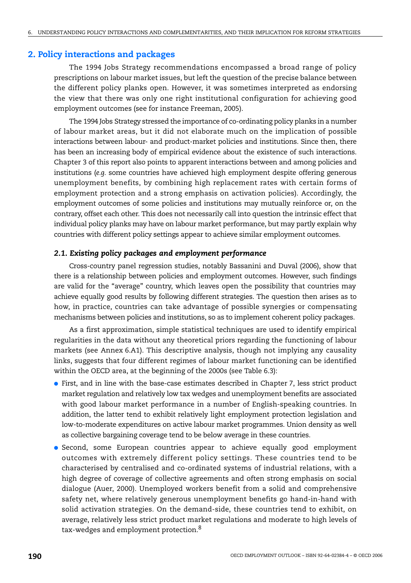#### **2. Policy interactions and packages**

The 1994 Jobs Strategy recommendations encompassed a broad range of policy prescriptions on labour market issues, but left the question of the precise balance between the different policy planks open. However, it was sometimes interpreted as endorsing the view that there was only one right institutional configuration for achieving good employment outcomes (see for instance Freeman, 2005).

The 1994 Jobs Strategy stressed the importance of co-ordinating policy planks in a number of labour market areas, but it did not elaborate much on the implication of possible interactions between labour- and product-market policies and institutions. Since then, there has been an increasing body of empirical evidence about the existence of such interactions. Chapter 3 of this report also points to apparent interactions between and among policies and institutions (*e.g.* some countries have achieved high employment despite offering generous unemployment benefits, by combining high replacement rates with certain forms of employment protection and a strong emphasis on activation policies). Accordingly, the employment outcomes of some policies and institutions may mutually reinforce or, on the contrary, offset each other. This does not necessarily call into question the intrinsic effect that individual policy planks may have on labour market performance, but may partly explain why countries with different policy settings appear to achieve similar employment outcomes.

#### *2.1. Existing policy packages and employment performance*

Cross-country panel regression studies, notably Bassanini and Duval (2006), show that there is a relationship between policies and employment outcomes. However, such findings are valid for the "average" country, which leaves open the possibility that countries may achieve equally good results by following different strategies. The question then arises as to how, in practice, countries can take advantage of possible synergies or compensating mechanisms between policies and institutions, so as to implement coherent policy packages.

As a first approximation, simple statistical techniques are used to identify empirical regularities in the data without any theoretical priors regarding the functioning of labour markets (see Annex 6.A1). This descriptive analysis, though not implying any causality links, suggests that four different regimes of labour market functioning can be identified within the OECD area, at the beginning of the 2000s (see Table 6.3):

- First, and in line with the base-case estimates described in Chapter 7, less strict product market regulation and relatively low tax wedges and unemployment benefits are associated with good labour market performance in a number of English-speaking countries. In addition, the latter tend to exhibit relatively light employment protection legislation and low-to-moderate expenditures on active labour market programmes. Union density as well as collective bargaining coverage tend to be below average in these countries.
- Second, some European countries appear to achieve equally good employment outcomes with extremely different policy settings. These countries tend to be characterised by centralised and co-ordinated systems of industrial relations, with a high degree of coverage of collective agreements and often strong emphasis on social dialogue (Auer, 2000). Unemployed workers benefit from a solid and comprehensive safety net, where relatively generous unemployment benefits go hand-in-hand with solid activation strategies. On the demand-side, these countries tend to exhibit, on average, relatively less strict product market regulations and moderate to high levels of tax-wedges and employment protection.<sup>8</sup>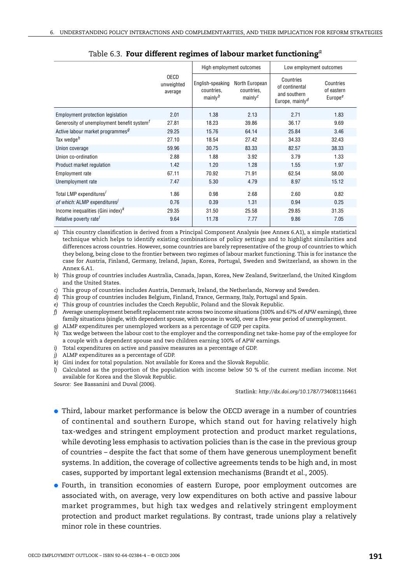|                                                           | <b>OECD</b><br>unweighted<br>average | High employment outcomes                     |                                                                  | Low employment outcomes                                                    |                                                             |
|-----------------------------------------------------------|--------------------------------------|----------------------------------------------|------------------------------------------------------------------|----------------------------------------------------------------------------|-------------------------------------------------------------|
|                                                           |                                      | English-speaking<br>countries.<br>mainly $b$ | North European<br>countries,<br>mainly <sup><math>c</math></sup> | Countries<br>of continental<br>and southern<br>Europe, mainly <sup>d</sup> | Countries<br>of eastern<br>Europe <sup><math>e</math></sup> |
| Employment protection legislation                         | 2.01                                 | 1.38                                         | 2.13                                                             | 2.71                                                                       | 1.83                                                        |
| Generosity of unemployment benefit system <sup>t</sup>    | 27.81                                | 18.23                                        | 39.86                                                            | 36.17                                                                      | 9.69                                                        |
| Active labour market programmes <sup><math>g</math></sup> | 29.25                                | 15.76                                        | 64.14                                                            | 25.84                                                                      | 3.46                                                        |
| Tax wedge <sup>h</sup>                                    | 27.10                                | 18.54                                        | 27.42                                                            | 34.33                                                                      | 32.43                                                       |
| Union coverage                                            | 59.96                                | 30.75                                        | 83.33                                                            | 82.57                                                                      | 38.33                                                       |
| Union co-ordination                                       | 2.88                                 | 1.88                                         | 3.92                                                             | 3.79                                                                       | 1.33                                                        |
| Product market regulation                                 | 1.42                                 | 1.20                                         | 1.28                                                             | 1.55                                                                       | 1.97                                                        |
| Employment rate                                           | 67.11                                | 70.92                                        | 71.91                                                            | 62.54                                                                      | 58.00                                                       |
| Unemployment rate                                         | 7.47                                 | 5.30                                         | 4.79                                                             | 8.97                                                                       | 15.12                                                       |
| Total LMP expenditures'                                   | 1.86                                 | 0.98                                         | 2.68                                                             | 2.60                                                                       | 0.82                                                        |
| of which: ALMP expenditures/                              | 0.76                                 | 0.39                                         | 1.31                                                             | 0.94                                                                       | 0.25                                                        |
| Income inequalities (Gini index) <sup>k</sup>             | 29.35                                | 31.50                                        | 25.58                                                            | 29.85                                                                      | 31.35                                                       |
| Relative poverty rate <sup>/</sup>                        | 9.64                                 | 11.78                                        | 7.77                                                             | 9.86                                                                       | 7.05                                                        |

#### Table 6.3. **Four different regimes of labour market functioning***<sup>a</sup>*

*a)* This country classification is derived from a Principal Component Analysis (see Annex 6.A1), a simple statistical technique which helps to identify existing combinations of policy settings and to highlight similarities and differences across countries. However, some countries are barely representative of the group of countries to which they belong, being close to the frontier between two regimes of labour market functioning. This is for instance the case for Austria, Finland, Germany, Ireland, Japan, Korea, Portugal, Sweden and Switzerland, as shown in the Annex 6.A1.

- *b)* This group of countries includes Australia, Canada, Japan, Korea, New Zealand, Switzerland, the United Kingdom and the United States.
- *c)* This group of countries includes Austria, Denmark, Ireland, the Netherlands, Norway and Sweden.
- *d)* This group of countries includes Belgium, Finland, France, Germany, Italy, Portugal and Spain.
- *e)* This group of countries includes the Czech Republic, Poland and the Slovak Republic.
- *f)* Average unemployment benefit replacement rate across two income situations (100% and 67% of APW earnings), three family situations (single, with dependent spouse, with spouse in work), over a five-year period of unemployment.
- *g)* ALMP expenditures per unemployed workers as a percentage of GDP per capita.
- *h)* Tax wedge between the labour cost to the employer and the corresponding net take-home pay of the employee for a couple with a dependent spouse and two children earning 100% of APW earnings.
- *i)* Total expenditures on active and passive measures as a percentage of GDP.
- *j)* ALMP expenditures as a percentage of GDP.
- *k)* Gini index for total population. Not available for Korea and the Slovak Republic.
- *l)* Calculated as the proportion of the population with income below 50 % of the current median income. Not available for Korea and the Slovak Republic.

*Source:* See Bassanini and Duval (2006).

Statlink: *http://dx.doi.org/10.1787/*734081116461

- Third, labour market performance is below the OECD average in a number of countries of continental and southern Europe, which stand out for having relatively high tax-wedges and stringent employment protection and product market regulations, while devoting less emphasis to activation policies than is the case in the previous group of countries – despite the fact that some of them have generous unemployment benefit systems. In addition, the coverage of collective agreements tends to be high and, in most cases, supported by important legal extension mechanisms (Brandt *et al.*, 2005).
- Fourth, in transition economies of eastern Europe, poor employment outcomes are associated with, on average, very low expenditures on both active and passive labour market programmes, but high tax wedges and relatively stringent employment protection and product market regulations. By contrast, trade unions play a relatively minor role in these countries.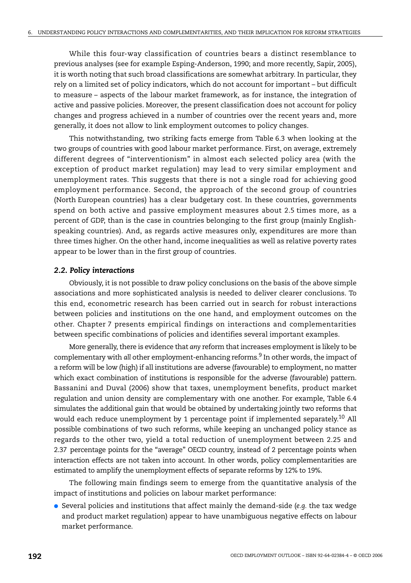While this four-way classification of countries bears a distinct resemblance to previous analyses (see for example Esping-Anderson, 1990; and more recently, Sapir, 2005), it is worth noting that such broad classifications are somewhat arbitrary. In particular, they rely on a limited set of policy indicators, which do not account for important – but difficult to measure – aspects of the labour market framework, as for instance, the integration of active and passive policies. Moreover, the present classification does not account for policy changes and progress achieved in a number of countries over the recent years and, more generally, it does not allow to link employment outcomes to policy changes.

This notwithstanding, two striking facts emerge from Table 6.3 when looking at the two groups of countries with good labour market performance. First, on average, extremely different degrees of "interventionism" in almost each selected policy area (with the exception of product market regulation) may lead to very similar employment and unemployment rates. This suggests that there is not a single road for achieving good employment performance. Second, the approach of the second group of countries (North European countries) has a clear budgetary cost. In these countries, governments spend on both active and passive employment measures about 2.5 times more, as a percent of GDP, than is the case in countries belonging to the first group (mainly Englishspeaking countries). And, as regards active measures only, expenditures are more than three times higher. On the other hand, income inequalities as well as relative poverty rates appear to be lower than in the first group of countries.

#### *2.2. Policy interactions*

Obviously, it is not possible to draw policy conclusions on the basis of the above simple associations and more sophisticated analysis is needed to deliver clearer conclusions. To this end, econometric research has been carried out in search for robust interactions between policies and institutions on the one hand, and employment outcomes on the other. Chapter 7 presents empirical findings on interactions and complementarities between specific combinations of policies and identifies several important examples.

More generally, there is evidence that *any* reform that increases employment is likely to be complementary with *all* other employment-enhancing reforms.9 In other words, the impact of a reform will be low (high) if all institutions are adverse (favourable) to employment, no matter which exact combination of institutions is responsible for the adverse (favourable) pattern. Bassanini and Duval (2006) show that taxes, unemployment benefits, product market regulation and union density are complementary with one another. For example, Table 6.4 simulates the additional gain that would be obtained by undertaking jointly two reforms that would each reduce unemployment by 1 percentage point if implemented separately.<sup>10</sup> All possible combinations of two such reforms, while keeping an unchanged policy stance as regards to the other two, yield a total reduction of unemployment between 2.25 and 2.37 percentage points for the "average" OECD country, instead of 2 percentage points when interaction effects are not taken into account. In other words, policy complementarities are estimated to amplify the unemployment effects of separate reforms by 12% to 19%.

The following main findings seem to emerge from the quantitative analysis of the impact of institutions and policies on labour market performance:

● Several policies and institutions that affect mainly the demand-side (*e.g.* the tax wedge and product market regulation) appear to have unambiguous negative effects on labour market performance.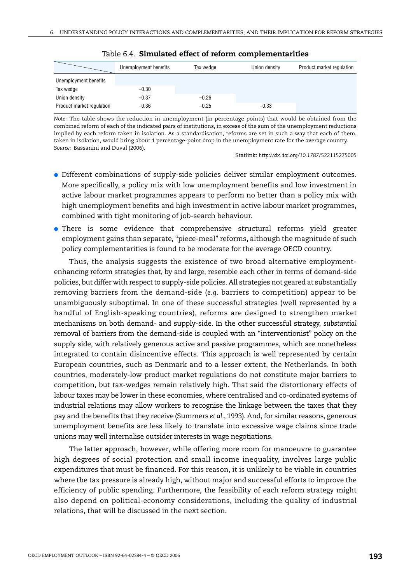|                           | Unemployment benefits | Tax wedge | Union density | Product market regulation |
|---------------------------|-----------------------|-----------|---------------|---------------------------|
| Unemployment benefits     |                       |           |               |                           |
| Tax wedge                 | $-0.30$               |           |               |                           |
| Union density             | $-0.37$               | $-0.26$   |               |                           |
| Product market regulation | $-0.36$               | $-0.25$   | $-0.33$       |                           |

#### Table 6.4. **Simulated effect of reform complementarities**

*Note:* The table shows the reduction in unemployment (in percentage points) that would be obtained from the combined reform of each of the indicated pairs of institutions, in excess of the sum of the unemployment reductions implied by each reform taken in isolation. As a standardisation, reforms are set in such a way that each of them, taken in isolation, would bring about 1 percentage-point drop in the unemployment rate for the average country. *Source:* Bassanini and Duval (2006).

Statlink: *http://dx.doi.org/10.1787/*522115275005

- Different combinations of supply-side policies deliver similar employment outcomes. More specifically, a policy mix with low unemployment benefits and low investment in active labour market programmes appears to perform no better than a policy mix with high unemployment benefits and high investment in active labour market programmes, combined with tight monitoring of job-search behaviour.
- There is some evidence that comprehensive structural reforms yield greater employment gains than separate, "piece-meal" reforms, although the magnitude of such policy complementarities is found to be moderate for the average OECD country.

Thus, the analysis suggests the existence of two broad alternative employmentenhancing reform strategies that, by and large, resemble each other in terms of demand-side policies, but differ with respect to supply-side policies. All strategies not geared at substantially removing barriers from the demand-side (*e.g.* barriers to competition) appear to be unambiguously suboptimal. In one of these successful strategies (well represented by a handful of English-speaking countries), reforms are designed to strengthen market mechanisms on both demand- and supply-side. In the other successful strategy, *substantial* removal of barriers from the demand-side is coupled with an "interventionist" policy on the supply side, with relatively generous active and passive programmes, which are nonetheless integrated to contain disincentive effects. This approach is well represented by certain European countries, such as Denmark and to a lesser extent, the Netherlands. In both countries, moderately-low product market regulations do not constitute major barriers to competition, but tax-wedges remain relatively high. That said the distortionary effects of labour taxes may be lower in these economies, where centralised and co-ordinated systems of industrial relations may allow workers to recognise the linkage between the taxes that they pay and the benefits that they receive (Summers *et al.*, 1993). And, for similar reasons, generous unemployment benefits are less likely to translate into excessive wage claims since trade unions may well internalise outsider interests in wage negotiations.

The latter approach, however, while offering more room for manoeuvre to guarantee high degrees of social protection and small income inequality, involves large public expenditures that must be financed. For this reason, it is unlikely to be viable in countries where the tax pressure is already high, without major and successful efforts to improve the efficiency of public spending. Furthermore, the feasibility of each reform strategy might also depend on political-economy considerations, including the quality of industrial relations, that will be discussed in the next section.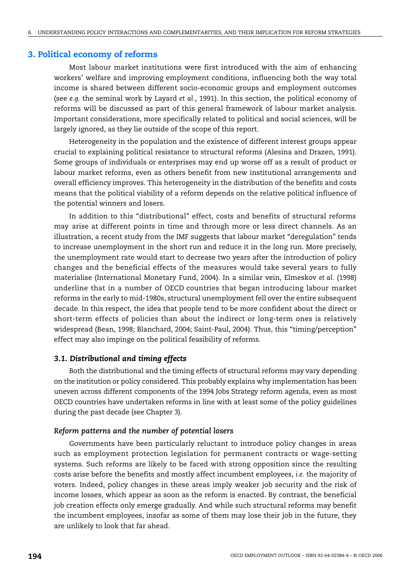#### **3. Political economy of reforms**

Most labour market institutions were first introduced with the aim of enhancing workers' welfare and improving employment conditions, influencing both the way total income is shared between different socio-economic groups and employment outcomes (see *e.g.* the seminal work by Layard *et al.*, 1991). In this section, the political economy of reforms will be discussed as part of this general framework of labour market analysis. Important considerations, more specifically related to political and social sciences, will be largely ignored, as they lie outside of the scope of this report.

Heterogeneity in the population and the existence of different interest groups appear crucial to explaining political resistance to structural reforms (Alesina and Drazen, 1991). Some groups of individuals or enterprises may end up worse off as a result of product or labour market reforms, even as others benefit from new institutional arrangements and overall efficiency improves. This heterogeneity in the distribution of the benefits and costs means that the political viability of a reform depends on the relative political influence of the potential winners and losers.

In addition to this "distributional" effect, costs and benefits of structural reforms may arise at different points in time and through more or less direct channels. As an illustration, a recent study from the IMF suggests that labour market "deregulation" tends to increase unemployment in the short run and reduce it in the long run. More precisely, the unemployment rate would start to decrease two years after the introduction of policy changes and the beneficial effects of the measures would take several years to fully materialise (International Monetary Fund, 2004). In a similar vein, Elmeskov *et al.* (1998) underline that in a number of OECD countries that began introducing labour market reforms in the early to mid-1980s, structural unemployment fell over the entire subsequent decade. In this respect, the idea that people tend to be more confident about the direct or short-term effects of policies than about the indirect or long-term ones is relatively widespread (Bean, 1998; Blanchard, 2004; Saint-Paul, 2004). Thus, this "timing/perception" effect may also impinge on the political feasibility of reforms.

#### *3.1. Distributional and timing effects*

Both the distributional and the timing effects of structural reforms may vary depending on the institution or policy considered. This probably explains why implementation has been uneven across different components of the 1994 Jobs Strategy reform agenda, even as most OECD countries have undertaken reforms in line with at least some of the policy guidelines during the past decade (see Chapter 3).

#### *Reform patterns and the number of potential losers*

Governments have been particularly reluctant to introduce policy changes in areas such as employment protection legislation for permanent contracts or wage-setting systems. Such reforms are likely to be faced with strong opposition since the resulting costs arise before the benefits and mostly affect incumbent employees, *i.e.* the majority of voters. Indeed, policy changes in these areas imply weaker job security and the risk of income losses, which appear as soon as the reform is enacted. By contrast, the beneficial job creation effects only emerge gradually. And while such structural reforms may benefit the incumbent employees, insofar as some of them may lose their job in the future, they are unlikely to look that far ahead.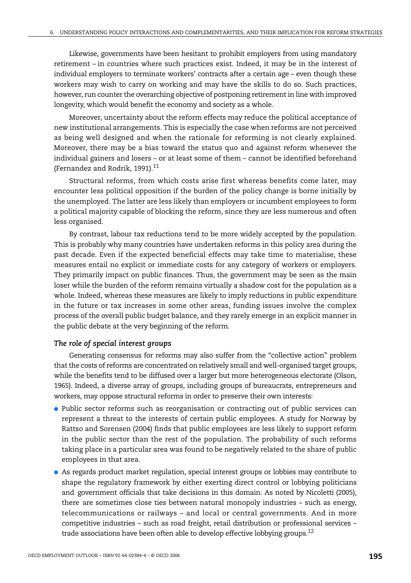Likewise, governments have been hesitant to prohibit employers from using mandatory retirement – in countries where such practices exist. Indeed, it may be in the interest of individual employers to terminate workers' contracts after a certain age – even though these workers may wish to carry on working and may have the skills to do so. Such practices, however, run counter the overarching objective of postponing retirement in line with improved longevity, which would benefit the economy and society as a whole.

Moreover, uncertainty about the reform effects may reduce the political acceptance of new institutional arrangements. This is especially the case when reforms are not perceived as being well designed and when the rationale for reforming is not clearly explained. Moreover, there may be a bias toward the status quo and against reform whenever the individual gainers and losers – or at least some of them – cannot be identified beforehand (Fernandez and Rodrik, 1991).<sup>11</sup>

Structural reforms, from which costs arise first whereas benefits come later, may encounter less political opposition if the burden of the policy change is borne initially by the unemployed. The latter are less likely than employers or incumbent employees to form a political majority capable of blocking the reform, since they are less numerous and often less organised.

By contrast, labour tax reductions tend to be more widely accepted by the population. This is probably why many countries have undertaken reforms in this policy area during the past decade. Even if the expected beneficial effects may take time to materialise, these measures entail no explicit or immediate costs for any category of workers or employers. They primarily impact on public finances. Thus, the government may be seen as the main loser while the burden of the reform remains virtually a shadow cost for the population as a whole. Indeed, whereas these measures are likely to imply reductions in public expenditure in the future or tax increases in some other areas, funding issues involve the complex process of the overall public budget balance, and they rarely emerge in an explicit manner in the public debate at the very beginning of the reform.

#### *The role of special interest groups*

Generating consensus for reforms may also suffer from the "collective action" problem that the costs of reforms are concentrated on relatively small and well-organised target groups, while the benefits tend to be diffused over a larger but more heterogeneous electorate (Olson, 1965). Indeed, a diverse array of groups, including groups of bureaucrats, entrepreneurs and workers, may oppose structural reforms in order to preserve their own interests:

- Public sector reforms such as reorganisation or contracting out of public services can represent a threat to the interests of certain public employees. A study for Norway by Rattso and Sorensen (2004) finds that public employees are less likely to support reform in the public sector than the rest of the population. The probability of such reforms taking place in a particular area was found to be negatively related to the share of public employees in that area.
- As regards product market regulation, special interest groups or lobbies may contribute to shape the regulatory framework by either exerting direct control or lobbying politicians and government officials that take decisions in this domain. As noted by Nicoletti (2005), there are sometimes close ties between natural monopoly industries – such as energy, telecommunications or railways – and local or central governments. And in more competitive industries – such as road freight, retail distribution or professional services – trade associations have been often able to develop effective lobbying groups.<sup>12</sup>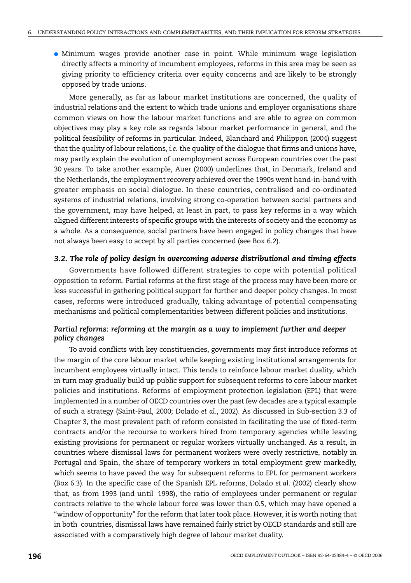● Minimum wages provide another case in point. While minimum wage legislation directly affects a minority of incumbent employees, reforms in this area may be seen as giving priority to efficiency criteria over equity concerns and are likely to be strongly opposed by trade unions.

More generally, as far as labour market institutions are concerned, the quality of industrial relations and the extent to which trade unions and employer organisations share common views on how the labour market functions and are able to agree on common objectives may play a key role as regards labour market performance in general, and the political feasibility of reforms in particular. Indeed, Blanchard and Philippon (2004) suggest that the quality of labour relations, *i.e.* the quality of the dialogue that firms and unions have, may partly explain the evolution of unemployment across European countries over the past 30 years. To take another example, Auer (2000) underlines that, in Denmark, Ireland and the Netherlands, the employment recovery achieved over the 1990s went hand-in-hand with greater emphasis on social dialogue. In these countries, centralised and co-ordinated systems of industrial relations, involving strong co-operation between social partners and the government, may have helped, at least in part, to pass key reforms in a way which aligned different interests of specific groups with the interests of society and the economy as a whole. As a consequence, social partners have been engaged in policy changes that have not always been easy to accept by all parties concerned (see Box 6.2).

#### *3.2. The role of policy design in overcoming adverse distributional and timing effects*

Governments have followed different strategies to cope with potential political opposition to reform. Partial reforms at the first stage of the process may have been more or less successful in gathering political support for further and deeper policy changes. In most cases, reforms were introduced gradually, taking advantage of potential compensating mechanisms and political complementarities between different policies and institutions.

#### *Partial reforms: reforming at the margin as a way to implement further and deeper policy changes*

To avoid conflicts with key constituencies, governments may first introduce reforms at the margin of the core labour market while keeping existing institutional arrangements for incumbent employees virtually intact. This tends to reinforce labour market duality, which in turn may gradually build up public support for subsequent reforms to core labour market policies and institutions. Reforms of employment protection legislation (EPL) that were implemented in a number of OECD countries over the past few decades are a typical example of such a strategy (Saint-Paul, 2000; Dolado *et al.*, 2002). As discussed in Sub-section 3.3 of Chapter 3, the most prevalent path of reform consisted in facilitating the use of fixed-term contracts and/or the recourse to workers hired from temporary agencies while leaving existing provisions for permanent or regular workers virtually unchanged. As a result, in countries where dismissal laws for permanent workers were overly restrictive, notably in Portugal and Spain, the share of temporary workers in total employment grew markedly, which seems to have paved the way for subsequent reforms to EPL for permanent workers (Box 6.3). In the specific case of the Spanish EPL reforms, Dolado *et al.* (2002) clearly show that, as from 1993 (and until 1998), the ratio of employees under permanent or regular contracts relative to the whole labour force was lower than 0.5, which may have opened a "window of opportunity" for the reform that later took place. However, it is worth noting that in both countries, dismissal laws have remained fairly strict by OECD standards and still are associated with a comparatively high degree of labour market duality.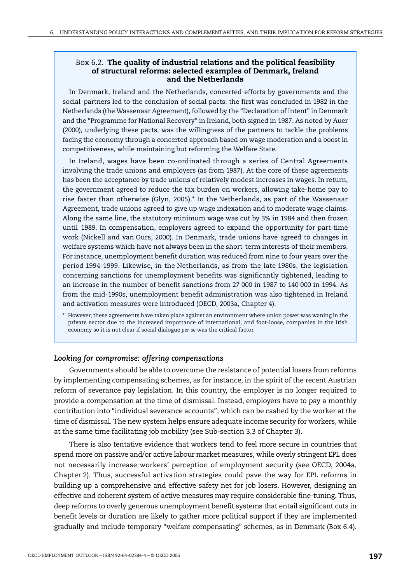#### Box 6.2. **The quality of industrial relations and the political feasibility of structural reforms: selected examples of Denmark, Ireland and the Netherlands**

In Denmark, Ireland and the Netherlands, concerted efforts by governments and the social partners led to the conclusion of social pacts: the first was concluded in 1982 in the Netherlands (the Wassenaar Agreement), followed by the "Declaration of Intent" in Denmark and the "Programme for National Recovery" in Ireland, both signed in 1987. As noted by Auer (2000), underlying these pacts, was the willingness of the partners to tackle the problems facing the economy through a concerted approach based on wage moderation and a boost in competitiveness, while maintaining but reforming the Welfare State.

In Ireland, wages have been co-ordinated through a series of Central Agreements involving the trade unions and employers (as from 1987). At the core of these agreements has been the acceptance by trade unions of relatively modest increases in wages. In return, the government agreed to reduce the tax burden on workers, allowing take-home pay to rise faster than otherwise (Glyn, 2005).\* In the Netherlands, as part of the Wassenaar Agreement, trade unions agreed to give up wage indexation and to moderate wage claims. Along the same line, the statutory minimum wage was cut by 3% in 1984 and then frozen until 1989. In compensation, employers agreed to expand the opportunity for part-time work (Nickell and van Ours, 2000). In Denmark, trade unions have agreed to changes in welfare systems which have not always been in the short-term interests of their members. For instance, unemployment benefit duration was reduced from nine to four years over the period 1994-1999. Likewise, in the Netherlands, as from the late 1980s, the legislation concerning sanctions for unemployment benefits was significantly tightened, leading to an increase in the number of benefit sanctions from 27 000 in 1987 to 140 000 in 1994. As from the mid-1990s, unemployment benefit administration was also tightened in Ireland and activation measures were introduced (OECD, 2003a, Chapter 4).

\* However, these agreements have taken place against an environment where union power was waning in the private sector due to the increased importance of international, and foot-loose, companies in the Irish economy so it is not clear if social dialogue *per se* was the critical factor.

#### *Looking for compromise: offering compensations*

Governments should be able to overcome the resistance of potential losers from reforms by implementing compensating schemes, as for instance, in the spirit of the recent Austrian reform of severance pay legislation. In this country, the employer is no longer required to provide a compensation at the time of dismissal. Instead, employers have to pay a monthly contribution into "individual severance accounts", which can be cashed by the worker at the time of dismissal. The new system helps ensure adequate income security for workers, while at the same time facilitating job mobility (see Sub-section 3.3 of Chapter 3).

There is also tentative evidence that workers tend to feel more secure in countries that spend more on passive and/or active labour market measures, while overly stringent EPL does not necessarily increase workers' perception of employment security (see OECD, 2004a, Chapter 2). Thus, successful activation strategies could pave the way for EPL reforms in building up a comprehensive and effective safety net for job losers. However, designing an effective and coherent system of active measures may require considerable fine-tuning. Thus, deep reforms to overly generous unemployment benefit systems that entail significant cuts in benefit levels or duration are likely to gather more political support if they are implemented gradually and include temporary "welfare compensating" schemes, as in Denmark (Box 6.4).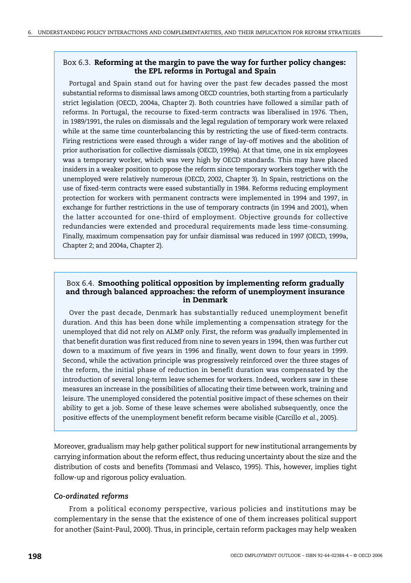#### Box 6.3. **Reforming at the margin to pave the way for further policy changes: the EPL reforms in Portugal and Spain**

Portugal and Spain stand out for having over the past few decades passed the most substantial reforms to dismissal laws among OECD countries, both starting from a particularly strict legislation (OECD, 2004a, Chapter 2). Both countries have followed a similar path of reforms. In Portugal, the recourse to fixed-term contracts was liberalised in 1976. Then, in 1989/1991, the rules on dismissals and the legal regulation of temporary work were relaxed while at the same time counterbalancing this by restricting the use of fixed-term contracts. Firing restrictions were eased through a wider range of lay-off motives and the abolition of prior authorisation for collective dismissals (OECD, 1999a). At that time, one in six employees was a temporary worker, which was very high by OECD standards. This may have placed insiders in a weaker position to oppose the reform since temporary workers together with the unemployed were relatively numerous (OECD, 2002, Chapter 3). In Spain, restrictions on the use of fixed-term contracts were eased substantially in 1984. Reforms reducing employment protection for workers with permanent contracts were implemented in 1994 and 1997, in exchange for further restrictions in the use of temporary contracts (in 1994 and 2001), when the latter accounted for one-third of employment. Objective grounds for collective redundancies were extended and procedural requirements made less time-consuming. Finally, maximum compensation pay for unfair dismissal was reduced in 1997 (OECD, 1999a, Chapter 2; and 2004a, Chapter 2).

#### Box 6.4. **Smoothing political opposition by implementing reform gradually and through balanced approaches: the reform of unemployment insurance in Denmark**

Over the past decade, Denmark has substantially reduced unemployment benefit duration. And this has been done while implementing a compensation strategy for the unemployed that did not rely on ALMP only. First, the reform was *gradually* implemented in that benefit duration was first reduced from nine to seven years in 1994, then was further cut down to a maximum of five years in 1996 and finally, went down to four years in 1999. Second, while the activation principle was progressively reinforced over the three stages of the reform, the initial phase of reduction in benefit duration was compensated by the introduction of several long-term leave schemes for workers. Indeed, workers saw in these measures an increase in the possibilities of allocating their time between work, training and leisure. The unemployed considered the potential positive impact of these schemes on their ability to get a job. Some of these leave schemes were abolished subsequently, once the positive effects of the unemployment benefit reform became visible (Carcillo *et al.*, 2005).

Moreover, gradualism may help gather political support for new institutional arrangements by carrying information about the reform effect, thus reducing uncertainty about the size and the distribution of costs and benefits (Tommasi and Velasco, 1995). This, however, implies tight follow-up and rigorous policy evaluation.

#### *Co-ordinated reforms*

From a political economy perspective, various policies and institutions may be complementary in the sense that the existence of one of them increases political support for another (Saint-Paul, 2000). Thus, in principle, certain reform packages may help weaken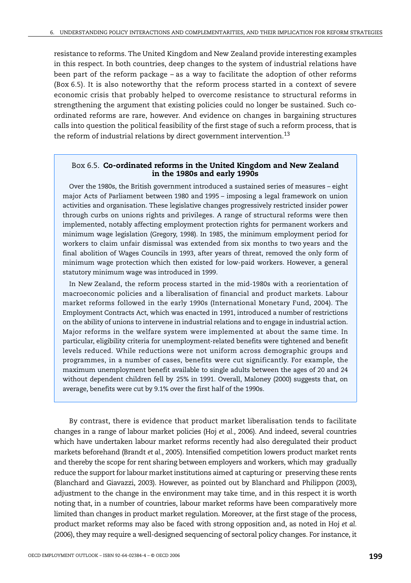resistance to reforms. The United Kingdom and New Zealand provide interesting examples in this respect. In both countries, deep changes to the system of industrial relations have been part of the reform package – as a way to facilitate the adoption of other reforms (Box 6.5). It is also noteworthy that the reform process started in a context of severe economic crisis that probably helped to overcome resistance to structural reforms in strengthening the argument that existing policies could no longer be sustained. Such coordinated reforms are rare, however. And evidence on changes in bargaining structures calls into question the political feasibility of the first stage of such a reform process, that is the reform of industrial relations by direct government intervention.<sup>13</sup>

#### Box 6.5. **Co-ordinated reforms in the United Kingdom and New Zealand in the 1980s and early 1990s**

Over the 1980s, the British government introduced a sustained series of measures – eight major Acts of Parliament between 1980 and 1995 – imposing a legal framework on union activities and organisation. These legislative changes progressively restricted insider power through curbs on unions rights and privileges. A range of structural reforms were then implemented, notably affecting employment protection rights for permanent workers and minimum wage legislation (Gregory, 1998). In 1985, the minimum employment period for workers to claim unfair dismissal was extended from six months to two years and the final abolition of Wages Councils in 1993, after years of threat, removed the only form of minimum wage protection which then existed for low-paid workers. However, a general statutory minimum wage was introduced in 1999.

In New Zealand, the reform process started in the mid-1980s with a reorientation of macroeconomic policies and a liberalisation of financial and product markets. Labour market reforms followed in the early 1990s (International Monetary Fund, 2004). The Employment Contracts Act, which was enacted in 1991, introduced a number of restrictions on the ability of unions to intervene in industrial relations and to engage in industrial action. Major reforms in the welfare system were implemented at about the same time. In particular, eligibility criteria for unemployment-related benefits were tightened and benefit levels reduced. While reductions were not uniform across demographic groups and programmes, in a number of cases, benefits were cut significantly. For example, the maximum unemployment benefit available to single adults between the ages of 20 and 24 without dependent children fell by 25% in 1991. Overall, Maloney (2000) suggests that, on average, benefits were cut by 9.1% over the first half of the 1990s.

By contrast, there is evidence that product market liberalisation tends to facilitate changes in a range of labour market policies (Hoj *et al.*, 2006). And indeed, several countries which have undertaken labour market reforms recently had also deregulated their product markets beforehand (Brandt *et al.*, 2005). Intensified competition lowers product market rents and thereby the scope for rent sharing between employers and workers, which may gradually reduce the support for labour market institutions aimed at capturing or preserving these rents (Blanchard and Giavazzi, 2003). However, as pointed out by Blanchard and Philippon (2003), adjustment to the change in the environment may take time, and in this respect it is worth noting that, in a number of countries, labour market reforms have been comparatively more limited than changes in product market regulation. Moreover, at the first stage of the process, product market reforms may also be faced with strong opposition and, as noted in Hoj *et al.* (2006), they may require a well-designed sequencing of sectoral policy changes. For instance, it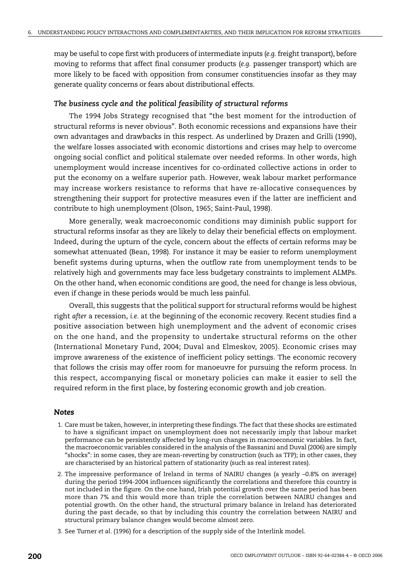may be useful to cope first with producers of intermediate inputs (*e.g.* freight transport), before moving to reforms that affect final consumer products (*e.g.* passenger transport) which are more likely to be faced with opposition from consumer constituencies insofar as they may generate quality concerns or fears about distributional effects.

#### *The business cycle and the political feasibility of structural reforms*

The 1994 Jobs Strategy recognised that "the best moment for the introduction of structural reforms is never obvious". Both economic recessions and expansions have their own advantages and drawbacks in this respect. As underlined by Drazen and Grilli (1990), the welfare losses associated with economic distortions and crises may help to overcome ongoing social conflict and political stalemate over needed reforms. In other words, high unemployment would increase incentives for co-ordinated collective actions in order to put the economy on a welfare superior path. However, weak labour market performance may increase workers resistance to reforms that have re-allocative consequences by strengthening their support for protective measures even if the latter are inefficient and contribute to high unemployment (Olson, 1965; Saint-Paul, 1998).

More generally, weak macroeconomic conditions may diminish public support for structural reforms insofar as they are likely to delay their beneficial effects on employment. Indeed, during the upturn of the cycle, concern about the effects of certain reforms may be somewhat attenuated (Bean, 1998). For instance it may be easier to reform unemployment benefit systems during upturns, when the outflow rate from unemployment tends to be relatively high and governments may face less budgetary constraints to implement ALMPs. On the other hand, when economic conditions are good, the need for change is less obvious, even if change in these periods would be much less painful.

Overall, this suggests that the political support for structural reforms would be highest right *after* a recession, *i.e.* at the beginning of the economic recovery. Recent studies find a positive association between high unemployment and the advent of economic crises on the one hand, and the propensity to undertake structural reforms on the other (International Monetary Fund, 2004; Duval and Elmeskov, 2005). Economic crises may improve awareness of the existence of inefficient policy settings. The economic recovery that follows the crisis may offer room for manoeuvre for pursuing the reform process. In this respect, accompanying fiscal or monetary policies can make it easier to sell the required reform in the first place, by fostering economic growth and job creation.

#### *Notes*

- 1. Care must be taken, however, in interpreting these findings. The fact that these shocks are estimated to have a significant impact on unemployment does not necessarily imply that labour market performance can be persistently affected by long-run changes in macroeconomic variables. In fact, the macroeconomic variables considered in the analysis of the Bassanini and Duval (2006) are simply "shocks": in some cases, they are mean-reverting by construction (such as TFP); in other cases, they are characterised by an historical pattern of stationarity (such as real interest rates).
- 2. The impressive performance of Ireland in terms of NAIRU changes (a yearly –0.8% on average) during the period 1994-2004 influences significantly the correlations and therefore this country is not included in the figure. On the one hand, Irish potential growth over the same period has been more than 7% and this would more than triple the correlation between NAIRU changes and potential growth. On the other hand, the structural primary balance in Ireland has deteriorated during the past decade, so that by including this country the correlation between NAIRU and structural primary balance changes would become almost zero.
- 3. See Turner *et al.* (1996) for a description of the supply side of the Interlink model.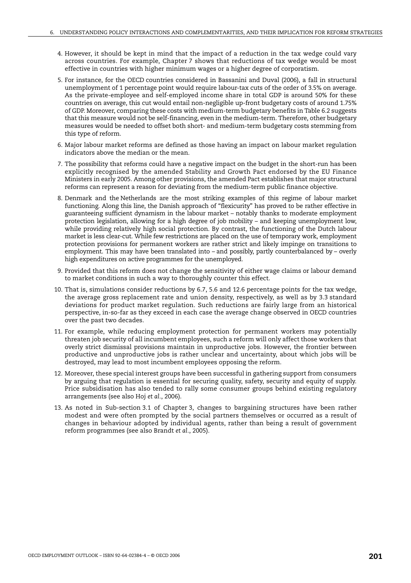- 4. However, it should be kept in mind that the impact of a reduction in the tax wedge could vary across countries. For example, Chapter 7 shows that reductions of tax wedge would be most effective in countries with higher minimum wages or a higher degree of corporatism.
- 5. For instance, for the OECD countries considered in Bassanini and Duval (2006), a fall in structural unemployment of 1 percentage point would require labour-tax cuts of the order of 3.5% on average. As the private-employee and self-employed income share in total GDP is around 50% for these countries on average, this cut would entail non-negligible up-front budgetary costs of around 1.75% of GDP. Moreover, comparing these costs with medium-term budgetary benefits in Table 6.2 suggests that this measure would not be self-financing, even in the medium-term. Therefore, other budgetary measures would be needed to offset both short- and medium-term budgetary costs stemming from this type of reform.
- 6. Major labour market reforms are defined as those having an impact on labour market regulation indicators above the median or the mean.
- 7. The possibility that reforms could have a negative impact on the budget in the short-run has been explicitly recognised by the amended Stability and Growth Pact endorsed by the EU Finance Ministers in early 2005. Among other provisions, the amended Pact establishes that major structural reforms can represent a reason for deviating from the medium-term public finance objective.
- 8. Denmark and the Netherlands are the most striking examples of this regime of labour market functioning. Along this line, the Danish approach of "flexicurity" has proved to be rather effective in guaranteeing sufficient dynamism in the labour market – notably thanks to moderate employment protection legislation, allowing for a high degree of job mobility – and keeping unemployment low, while providing relatively high social protection. By contrast, the functioning of the Dutch labour market is less clear-cut. While few restrictions are placed on the use of temporary work, employment protection provisions for permanent workers are rather strict and likely impinge on transitions to employment. This may have been translated into – and possibly, partly counterbalanced by – overly high expenditures on active programmes for the unemployed.
- 9. Provided that this reform does not change the sensitivity of either wage claims or labour demand to market conditions in such a way to thoroughly counter this effect.
- 10. That is, simulations consider reductions by 6.7, 5.6 and 12.6 percentage points for the tax wedge, the average gross replacement rate and union density, respectively, as well as by 3.3 standard deviations for product market regulation. Such reductions are fairly large from an historical perspective, in-so-far as they exceed in each case the average change observed in OECD countries over the past two decades.
- 11. For example, while reducing employment protection for permanent workers may potentially threaten job security of all incumbent employees, such a reform will only affect those workers that overly strict dismissal provisions maintain in unproductive jobs. However, the frontier between productive and unproductive jobs is rather unclear and uncertainty, about which jobs will be destroyed, may lead to most incumbent employees opposing the reform.
- 12. Moreover, these special interest groups have been successful in gathering support from consumers by arguing that regulation is essential for securing quality, safety, security and equity of supply. Price subsidisation has also tended to rally some consumer groups behind existing regulatory arrangements (see also Hoj *et al.*, 2006).
- 13. As noted in Sub-section 3.1 of Chapter 3, changes to bargaining structures have been rather modest and were often prompted by the social partners themselves or occurred as a result of changes in behaviour adopted by individual agents, rather than being a result of government reform programmes (see also Brandt *et al.*, 2005).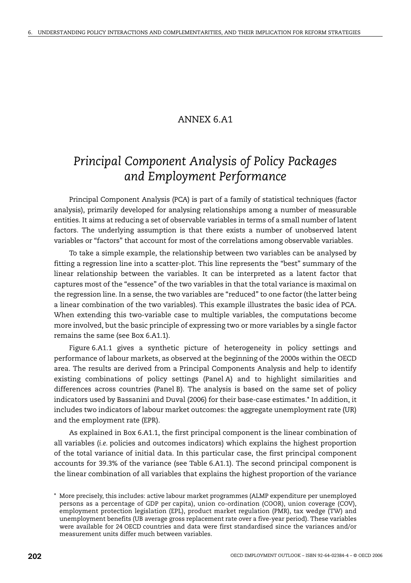## ANNEX 6.A1

# *Principal Component Analysis of Policy Packages and Employment Performance*

Principal Component Analysis (PCA) is part of a family of statistical techniques (factor analysis), primarily developed for analysing relationships among a number of measurable entities. It aims at reducing a set of observable variables in terms of a small number of latent factors. The underlying assumption is that there exists a number of unobserved latent variables or "factors" that account for most of the correlations among observable variables.

To take a simple example, the relationship between two variables can be analysed by fitting a regression line into a scatter-plot. This line represents the "best" summary of the linear relationship between the variables. It can be interpreted as a latent factor that captures most of the "essence" of the two variables in that the total variance is maximal on the regression line. In a sense, the two variables are "reduced" to one factor (the latter being a linear combination of the two variables). This example illustrates the basic idea of PCA. When extending this two-variable case to multiple variables, the computations become more involved, but the basic principle of expressing two or more variables by a single factor remains the same (see Box 6.A1.1).

Figure 6.A1.1 gives a synthetic picture of heterogeneity in policy settings and performance of labour markets, as observed at the beginning of the 2000s within the OECD area. The results are derived from a Principal Components Analysis and help to identify existing combinations of policy settings (Panel A) and to highlight similarities and differences across countries (Panel B). The analysis is based on the same set of policy indicators used by Bassanini and Duval (2006) for their base-case estimates.\* In addition, it includes two indicators of labour market outcomes: the aggregate unemployment rate (UR) and the employment rate (EPR).

As explained in Box 6.A1.1, the first principal component is the linear combination of all variables (*i.e.* policies and outcomes indicators) which explains the highest proportion of the total variance of initial data. In this particular case, the first principal component accounts for 39.3% of the variance (see Table 6.A1.1). The second principal component is the linear combination of all variables that explains the highest proportion of the variance

<sup>\*</sup> More precisely, this includes: active labour market programmes (ALMP expenditure per unemployed persons as a percentage of GDP per capita), union co-ordination (COOR), union coverage (COV), employment protection legislation (EPL), product market regulation (PMR), tax wedge (TW) and unemployment benefits (UB average gross replacement rate over a five-year period). These variables were available for 24 OECD countries and data were first standardised since the variances and/or measurement units differ much between variables.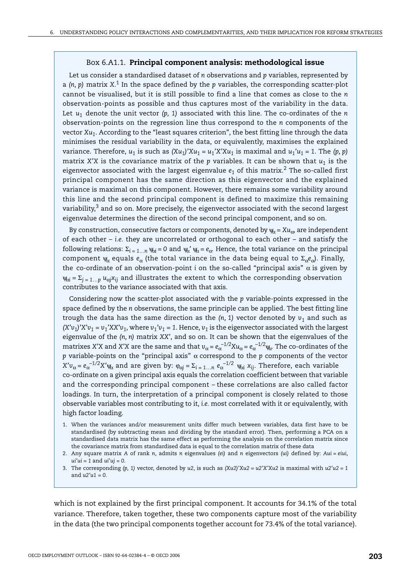#### Box 6.A1.1. **Principal component analysis: methodological issue**

Let us consider a standardised dataset of *n* observations and *p* variables, represented by a *(n, p)* matrix *X*. 1 In the space defined by the *p* variables, the corresponding scatter-plot cannot be visualised, but it is still possible to find a line that comes as close to the *n* observation-points as possible and thus captures most of the variability in the data. Let  $u_1$  denote the unit vector  $(p, 1)$  associated with this line. The co-ordinates of the *n* observation-points on the regression line thus correspond to the *n* components of the vector *Xu1*. According to the "least squares criterion", the best fitting line through the data minimises the residual variability in the data, or equivalently, maximises the explained variance. Therefore,  $u_1$  is such as  $(Xu_1)'Xu_1 = u_1'X'Xu_1$  is maximal and  $u_1'u_1 = 1$ . The  $(p, p)$ matrix *X'X* is the covariance matrix of the *p* variables. It can be shown that  $u_1$  is the eigenvector associated with the largest eigenvalue  $e_1$  of this matrix.<sup>2</sup> The so-called first principal component has the same direction as this eigenvector and the explained variance is maximal on this component. However, there remains some variability around this line and the second principal component is defined to maximize this remaining variability, $3$  and so on. More precisely, the eigenvector associated with the second largest eigenvalue determines the direction of the second principal component, and so on.

By construction, consecutive factors or components, denoted by  $\psi_{\alpha} = Xu_{\alpha}$  are independent of each other – *i.e.* they are uncorrelated or orthogonal to each other – and satisfy the following relations:  $\Sigma_{i=1...n}$   $\psi_{ni} = 0$  and  $\psi_{ni}'$   $\psi_{ni} = e_{ni}$ . Hence, the total variance on the principal component  $\psi_\alpha$  equals  $e_\alpha$  (the total variance in the data being equal to  $\Sigma_\alpha e_\alpha$ ). Finally, the co-ordinate of an observation-point *i* on the so-called "principal axis" α is given by ψα*<sup>i</sup> =* Σ*j = 1…p u*α*jxij* and illustrates the extent to which the corresponding observation contributes to the variance associated with that axis.

Considering now the scatter-plot associated with the *p* variable-points expressed in the space defined by the *n* observations, the same principle can be applied. The best fitting line trough the data has the same direction as the  $(n, 1)$  vector denoted by  $v_1$  and such as  $(X'v_1)'X'v_1 = v_1'XX'v_1$ , where  $v_1'v_1 = 1$ . Hence,  $v_1$  is the eigenvector associated with the largest eigenvalue of the *(n, n)* matrix *XX'*, and so on. It can be shown that the eigenvalues of the matrixes *X'X* and *X'X* are the same and that  $v_\alpha$  =  $e_\alpha^{-1/2}x u_\alpha$  =  $e_\alpha^{-1/2}v_\alpha$ . The co-ordinates of the *p* variable-points on the "principal axis" α correspond to the *p* components of the vector *X'*υ $_{\alpha}$  = e $_{\alpha}^{-1/2}$ X'ψ $_{\alpha}$  and are given by: φ $_{\alpha j}$  = Σ $_{i=1...n}$  e $_{\alpha}^{-1/2}$  ψ $_{\alpha i}$  x $_{ij}$ . Therefore, each variable co-ordinate on a given principal axis equals the correlation coefficient between that variable and the corresponding principal component – these correlations are also called factor loadings. In turn, the interpretation of a principal component is closely related to those observable variables most contributing to it, *i.e.* most correlated with it or equivalently, with high factor loading.

- 1. When the variances and/or measurement units differ much between variables, data first have to be standardised (by subtracting mean and dividing by the standard error). Then, performing a PCA on a standardised data matrix has the same effect as performing the analysis on the correlation matrix since the covariance matrix from standardised data is equal to the correlation matrix of these data
- 2. Any square matrix *A* of rank *n*, admits *n* eigenvalues *(ei)* and *n* eigenvectors *(ui)* defined by: *Aui = eiui*, *ui'ui = 1* and *ui'uj = 0*.
- 3. The corresponding *(p, 1)* vector, denoted by *u2*, is such as *(Xu2)'Xu2 = u2'X'Xu2* is maximal with *u2'u2 = 1* and *u2'u1 = 0*.

which is not explained by the first principal component. It accounts for 34.1% of the total variance. Therefore, taken together, these two components capture most of the variability in the data (the two principal components together account for 73.4% of the total variance).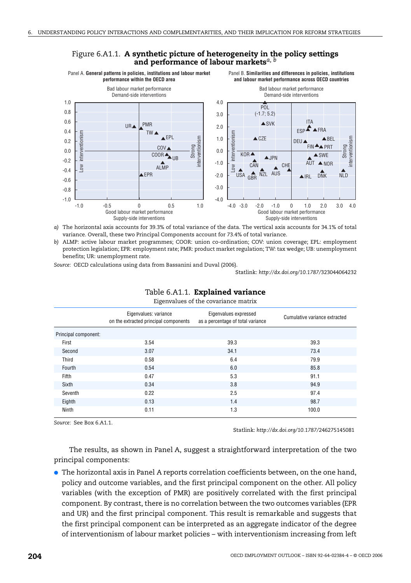

#### Figure 6.A1.1. **A synthetic picture of heterogeneity in the policy settings and performance of labour markets***a, b*

*a)* The horizontal axis accounts for 39.3% of total variance of the data. The vertical axis accounts for 34.1% of total variance. Overall, these two Principal Components account for 73.4% of total variance.

*b)* ALMP: active labour market programmes; COOR: union co-ordination; COV: union coverage; EPL: employment protection legislation; EPR: employment rate; PMR: product market regulation; TW: tax wedge; UB: unemployment benefits; UR: unemployment rate.

*Source:* OECD calculations using data from Bassanini and Duval (2006).

Statlink: *http://dx.doi.org/10.1787/*323044064232

| Eigenvalues of the covariance matrix |                                                                |                                                            |                               |  |
|--------------------------------------|----------------------------------------------------------------|------------------------------------------------------------|-------------------------------|--|
|                                      | Eigenvalues: variance<br>on the extracted principal components | Eigenvalues expressed<br>as a percentage of total variance | Cumulative variance extracted |  |
| Principal component:                 |                                                                |                                                            |                               |  |
| First                                | 3.54                                                           | 39.3                                                       | 39.3                          |  |
| Second                               | 3.07                                                           | 34.1                                                       | 73.4                          |  |
| Third                                | 0.58                                                           | 6.4                                                        | 79.9                          |  |
| Fourth                               | 0.54                                                           | 6.0                                                        | 85.8                          |  |
| Fifth                                | 0.47                                                           | 5.3                                                        | 91.1                          |  |
| Sixth                                | 0.34                                                           | 3.8                                                        | 94.9                          |  |
| Seventh                              | 0.22                                                           | 2.5                                                        | 97.4                          |  |
| Eighth                               | 0.13                                                           | 1.4                                                        | 98.7                          |  |
| Ninth                                | 0.11                                                           | 1.3                                                        | 100.0                         |  |

# Table 6.A1.1. **Explained variance**

*Source:* See Box 6.A1.1.

Statlink: *http://dx.doi.org/10.1787/*246275145081

The results, as shown in Panel A, suggest a straightforward interpretation of the two principal components:

● The horizontal axis in Panel A reports correlation coefficients between, on the one hand, policy and outcome variables, and the first principal component on the other. All policy variables (with the exception of PMR) are positively correlated with the first principal component. By contrast, there is no correlation between the two outcomes variables (EPR and UR) and the first principal component. This result is remarkable and suggests that the first principal component can be interpreted as an aggregate indicator of the degree of interventionism of labour market policies – with interventionism increasing from left